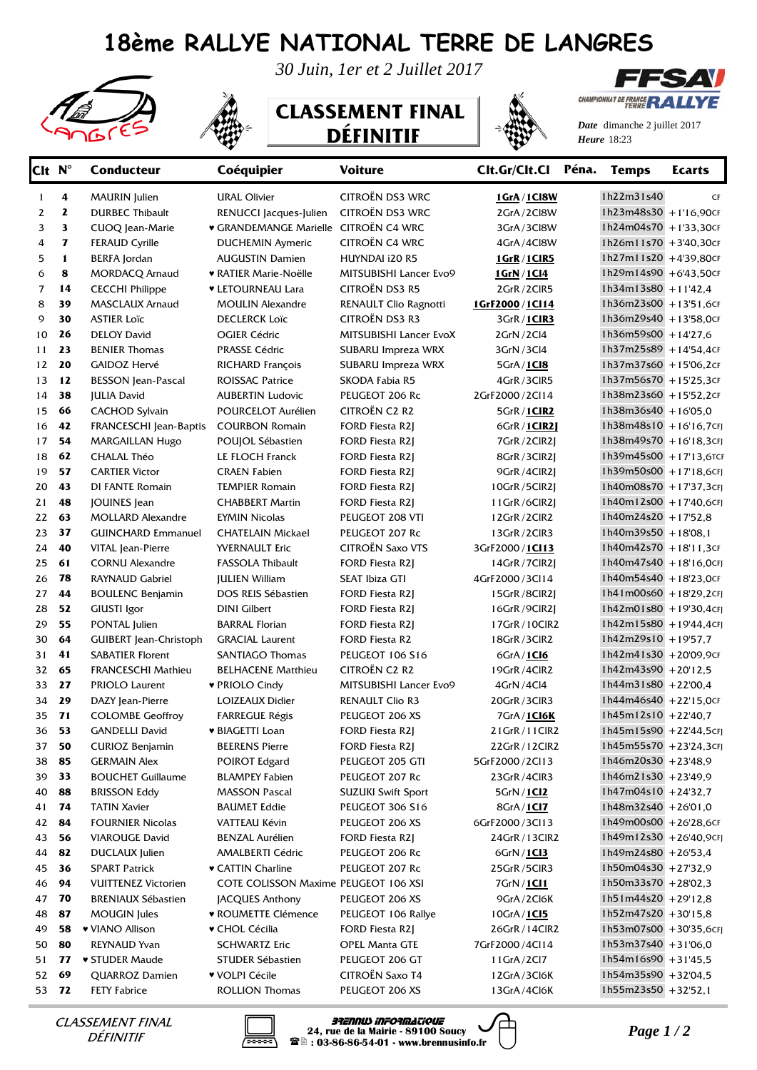## **18ème RALLYE NATIONAL TERRE DE LANGRES**



*30 Juin, 1er et 2 Juillet 2017*

## **CLASSEMENT FINAL DÉFINITIF**



*Date* dimanche 2 juillet 2017 *Heure* 18:23

CHAMPIONNAT DE FRANCE **RA** 

**FFSAV** 

| Clt N <sup>°</sup> |              | <b>Conducteur</b>                  | Coéquipier                                 | <b>Voiture</b>                            | Clt.Gr/Clt.Cl Péna.              | <b>Temps</b>                                  | <b>Ecarts</b> |
|--------------------|--------------|------------------------------------|--------------------------------------------|-------------------------------------------|----------------------------------|-----------------------------------------------|---------------|
| $\mathbf{1}$       | 4            | <b>MAURIN</b> Julien               | <b>URAL Olivier</b>                        | CITROËN DS3 WRC                           | 1GrA/1Cl8W                       | 1h22m31s40                                    | CF            |
| 2                  | 2            | <b>DURBEC Thibault</b>             | RENUCCI Jacques-Julien                     | CITROËN DS3 WRC                           | 2GrA/2Cl8W                       | $1h23m48s30 + 1'16,90cF$                      |               |
| 3                  | 3            | CUOQ Jean-Marie                    | <b>GRANDEMANGE Marielle CITROËN C4 WRC</b> |                                           | 3GrA/3Cl8W                       | 1h24m04s70 +1'33,30cF                         |               |
| 4                  | $\mathbf{z}$ | <b>FERAUD Cyrille</b>              | <b>DUCHEMIN Aymeric</b>                    | CITROËN C4 WRC                            | 4GrA/4Cl8W                       | 1h26m11s70 +3'40,30cF                         |               |
| 5                  | $\mathbf{1}$ | <b>BERFA</b> Jordan                | <b>AUGUSTIN Damien</b>                     | HUYNDAI i20 R5                            | 1GrR / 1CIR5                     | 1h27m11s20 +4'39,80cF                         |               |
| 6                  | 8            | <b>MORDACQ Arnaud</b>              | ♥ RATIER Marie-Noëlle                      | MITSUBISHI Lancer Evo9                    | 1GrN / 1Cl4                      | $1h29m14s90$ + 6'43,50cF                      |               |
| 7                  | 14           | <b>CECCHI Philippe</b>             | ♥ LETOURNEAU Lara                          | <b>CITROËN DS3 R5</b>                     | 2GrR/2ClR5                       | $1h34m13s80 + 11'42.4$                        |               |
| 8                  | 39           | <b>MASCLAUX Arnaud</b>             | <b>MOULIN Alexandre</b>                    | RENAULT Clio Ragnotti                     | 1GrF2000/1Cl14                   | 1h36m23s00 +13'51,6CF                         |               |
| 9                  | 30           | <b>ASTIER Loïc</b>                 | <b>DECLERCK Loïc</b>                       | <b>CITROËN DS3 R3</b>                     | 3GrR / 1CIR3                     | 1h36m29s40 +13'58,0cF                         |               |
| 10                 | 26           | <b>DELOY David</b>                 | <b>OGIER Cédric</b>                        | MITSUBISHI Lancer EvoX                    | 2GrN / 2Cl4                      | 1h36m59s00 + $14'27.6$                        |               |
| 11                 | 23           | <b>BENIER Thomas</b>               | <b>PRASSE Cédric</b>                       | SUBARU Impreza WRX                        | 3GrN/3Cl4                        | 1h37m25s89 +14'54,4cF                         |               |
| 12                 | 20           | GAIDOZ Hervé                       | RICHARD François                           | SUBARU Impreza WRX                        | 5GrA / 1Cl8                      | 1h37m37s60 +15'06,2CF                         |               |
| 13                 | 12           | <b>BESSON</b> Jean-Pascal          | <b>ROISSAC Patrice</b>                     | SKODA Fabia R5                            | 4GrR/3ClR5                       | 1h37m56s70 +15'25,3cF                         |               |
| 14                 | 38           | <b>JULIA David</b>                 | <b>AUBERTIN Ludovic</b>                    | PEUGEOT 206 Rc                            | 2GrF2000/2Cl14                   | 1h38m23s60 +15'52,2CF                         |               |
| 15                 | 66           | <b>CACHOD Sylvain</b>              | POURCELOT Aurélien                         | <b>CITROËN C2 R2</b>                      | 5GrR / 1CIR2                     | 1h38m36s40 +16'05.0                           |               |
| 16                 | 42           | FRANCESCHI Jean-Baptis             | <b>COURBON Romain</b>                      | <b>FORD Fiesta R2J</b>                    | 6GrR / 1CIR21                    | $1h38m48s10 + 16'16,7cF$                      |               |
| 17                 | 54           | <b>MARGAILLAN Hugo</b>             | POUJOL Sébastien                           | <b>FORD Fiesta R2J</b>                    | 7GrR/2ClR2J                      | $1h38m49s70 + 16'18,3cF$                      |               |
| 18                 | 62           | CHALAL Théo                        | LE FLOCH Franck                            | <b>FORD Fiesta R2J</b>                    | 8GrR/3ClR2J                      | 1h39m45s00 +17'13,6TCF                        |               |
| 19                 | 57           | <b>CARTIER Victor</b>              | <b>CRAEN Fabien</b>                        | <b>FORD Fiesta R2J</b>                    | 9GrR/4ClR2J                      | 1h39m50s00 +17'18,6CFJ                        |               |
| 20                 | 43           | DI FANTE Romain                    | <b>TEMPIER Romain</b>                      | FORD Fiesta R2J                           | 10GrR/5ClR2J                     | 1h40m08s70 +17'37,3CFJ                        |               |
| 21                 | 48           | JOUINES Jean                       | <b>CHABBERT Martin</b>                     | <b>FORD Fiesta R21</b>                    | 11GrR/6ClR2J                     | 1h40m12s00 +17'40,6CFJ                        |               |
| 22                 | 63           | <b>MOLLARD Alexandre</b>           | <b>EYMIN Nicolas</b>                       | PEUGEOT 208 VTI                           | 12GrR/2ClR2                      | 1h40m24s20 +17'52,8                           |               |
| 23                 | 37           | <b>GUINCHARD Emmanuel</b>          | <b>CHATELAIN Mickael</b>                   | PEUGEOT 207 Rc                            | 13GrR/2CIR3                      | $1h40m39s50 + 1808,1$                         |               |
| 24                 | 40           | VITAL Jean-Pierre                  | YVERNAULT Eric                             | <b>CITROËN Saxo VTS</b>                   | 3GrF2000/1Cl13                   | 1h40m42s70 +18'11,3CF                         |               |
| 25                 | 61           | <b>CORNU Alexandre</b>             | <b>FASSOLA Thibault</b>                    | FORD Fiesta R2J                           | 14GrR / 7CIR2J                   | 1h40m47s40 +18'16,0CFJ                        |               |
| 26                 | 78           | RAYNAUD Gabriel                    | <b>JULIEN William</b>                      | SEAT Ibiza GTI                            | 4GrF2000/3Cl14                   | 1h40m54s40 +18'23,0CF                         |               |
| 27                 | 44           | <b>BOULENC Benjamin</b>            | DOS REIS Sébastien                         | FORD Fiesta R2J                           | 15GrR/8ClR2J                     | 1h41m00s60 +18'29,2CFJ                        |               |
| 28                 | 52           | GIUSTI Igor                        | <b>DINI Gilbert</b>                        | <b>FORD Fiesta R2J</b>                    | 16GrR/9CIR2J                     | $1h42m01s80 + 19'30,4cf$                      |               |
| 29                 | 55           | PONTAL Julien                      | <b>BARRAL Florian</b>                      | FORD Fiesta R2J                           | 17GrR / 10CIR2                   | $1h42m15s80 + 19'44,4cf$                      |               |
| 30                 | 64           | <b>GUIBERT</b> Jean-Christoph      | <b>GRACIAL Laurent</b>                     | FORD Fiesta R2                            | 18GrR/3ClR2                      | 1h42m29s10 +19'57,7                           |               |
| 31                 | 41           | <b>SABATIER Florent</b>            | SANTIAGO Thomas                            | <b>PEUGEOT 106 S16</b>                    | 6GrA / 1Cl6                      | 1h42m41s30 +20'09,9cr                         |               |
| 32                 | 65           | <b>FRANCESCHI Mathieu</b>          | <b>BELHACENE Matthieu</b>                  | CITROËN C2 R2<br>MITSUBISHI Lancer Evo9   | 19GrR/4ClR2                      | $1h42m43s90 + 20'12.5$<br>1h44m31s80 +22'00,4 |               |
| 33<br>34           | 27<br>29     | PRIOLO Laurent<br>DAZY Jean-Pierre | ♥ PRIOLO Cindy<br><b>LOIZEAUX Didier</b>   | <b>RENAULT Clio R3</b>                    | 4GrN / 4Cl4                      | 1h44m46s40 +22'15,0cF                         |               |
| 35                 | 71           | <b>COLOMBE Geoffroy</b>            |                                            | PEUGEOT 206 XS                            | 20GrR/3ClR3                      | $1h45m12s10$ +22'40.7                         |               |
| 36                 | 53           | <b>GANDELLI David</b>              | <b>FARREGUE Régis</b>                      |                                           | 7GrA/1CI6K<br>21GrR / 11ClR2     | 1h45m15s90 +22'44,5cFJ                        |               |
| 37                 | 50           | CURIOZ Benjamin                    | ♥ BIAGETTI Loan<br><b>BEERENS Pierre</b>   | FORD Fiesta R2J<br><b>FORD Fiesta R21</b> |                                  | 1h45m55s70 +23'24,3cr                         |               |
| 38                 | 85           | <b>GERMAIN Alex</b>                | POIROT Edgard                              | PEUGEOT 205 GTI                           | 22GrR / 12ClR2<br>5GrF2000/2Cl13 | $1h46m20s30 + 2348,9$                         |               |
| 39                 | 33           | <b>BOUCHET Guillaume</b>           | <b>BLAMPEY Fabien</b>                      | PEUGEOT 207 Rc                            | 23GrR/4ClR3                      | $1h46m21s30 + 2349,9$                         |               |
| 40                 | 88           | <b>BRISSON Eddy</b>                | <b>MASSON Pascal</b>                       | <b>SUZUKI Swift Sport</b>                 | 5GrN / 1 Cl2                     | 1h47m04s10 +24'32,7                           |               |
| 41                 | 74           | <b>TATIN Xavier</b>                | <b>BAUMET Eddie</b>                        | PEUGEOT 306 S16                           | 8GrA / 1Cl7                      | $1h48m32s40 + 2601,0$                         |               |
| 42                 | 84           | <b>FOURNIER Nicolas</b>            | VATTEAU Kévin                              | PEUGEOT 206 XS                            | 6GrF2000/3Cl13                   | $1h49m00s00 + 26'28,6cF$                      |               |
| 43                 | 56           | <b>VIAROUGE David</b>              | <b>BENZAL Aurélien</b>                     | <b>FORD Fiesta R2J</b>                    | 24GrR / 13CIR2                   | $1h49m12s30 + 2640,9cF$                       |               |
| 44                 | 82           | DUCLAUX Julien                     | AMALBERTI Cédric                           | PEUGEOT 206 Rc                            | 6GrN/1C13                        | 1h49m24s80 +26'53,4                           |               |
| 45                 | 36           | <b>SPART Patrick</b>               | ♥ CATTIN Charline                          | PEUGEOT 207 Rc                            | 25GrR/5ClR3                      | 1h50m04s30 +27'32,9                           |               |
| 46                 | 94           | <b>VUITTENEZ Victorien</b>         | COTE COLISSON Maxime PEUGEOT 106 XSI       |                                           | 7GrN / 1Cl1                      | $1h50m33s70 + 2802,3$                         |               |
| 47                 | 70           | <b>BRENIAUX Sébastien</b>          | JACQUES Anthony                            | PEUGEOT 206 XS                            | 9GrA/2Cl6K                       | $1h51m44s20 + 29'12,8$                        |               |
| 48                 | 87           | <b>MOUGIN</b> Jules                | ♥ ROUMETTE Clémence                        | PEUGEOT 106 Rallye                        | 10GrA/1CI5                       | $1h52m47s20 + 30'15,8$                        |               |
| 49                 | 58           | ♥ VIANO Allison                    | ♥ CHOL Cécilia                             | <b>FORD Fiesta R2J</b>                    | 26GrR / 14ClR2                   | 1h53m07s00 + 30'35,6CFJ                       |               |
| 50                 | 80           | REYNAUD Yvan                       | <b>SCHWARTZ Eric</b>                       | <b>OPEL Manta GTE</b>                     | 7GrF2000/4Cl14                   | $1h53m37s40 + 3106,0$                         |               |
| 51                 | 77           | ▼ STUDER Maude                     | STUDER Sébastien                           | PEUGEOT 206 GT                            | 11GrA/2Cl7                       | $1h54m16s90 + 3145,5$                         |               |
| 52                 | 69           | QUARROZ Damien                     | ♥ VOLPI Cécile                             | CITROËN Saxo T4                           | 12GrA/3Cl6K                      | $1h54m35s90 + 32'04,5$                        |               |
| 53 72              |              | <b>FETY Fabrice</b>                | ROLLION Thomas                             | PEUGEOT 206 XS                            | 13GrA/4Cl6K                      | $1h55m23s50$ +32'52,1                         |               |

DÉFINITIF



*CLASSEMENT FINAL* **Page 1** / 24, rue de la Mairie - 89100 Soucy  $\Box$  *Page 1* / 2 **BRENNUS INFORMATIQUE 24, rue de la Mairie - 89100 Soucy : 03-86-86-54-01 - www.brennusinfo.fr**